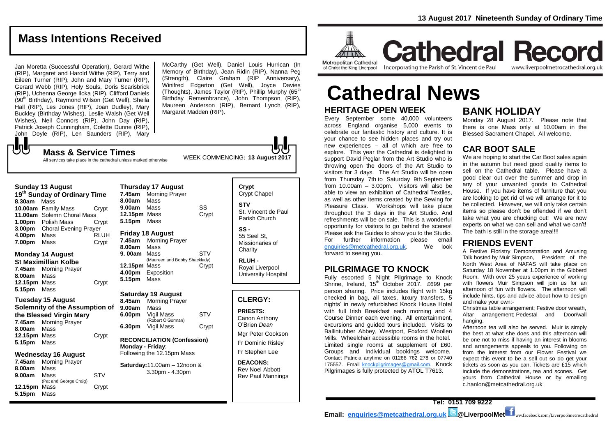# **Mass Intentions Received**

Jan Moretta (Successful Operation), Gerard Withe (RIP), Margaret and Harold Withe (RIP), Terry and Eileen Turner (RIP), John and Mary Turner (RIP), Gerard Webb (RIP), Holy Souls, Doris Scarisbrick (RIP), Uchenna George Iloka (RIP), Clifford Daniels (90<sup>th</sup> Birthday), Raymond Wilson (Get Well), Sheila Hall (RIP), Les Jones (RIP), Joan Dudley), Mary Buckley (Birthday Wishes), Leslie Walsh (Get Well Wishes), Neil Connors (RIP), John Day (RIP), Patrick Joseph Cunningham, Colette Dunne (RIP), John Doyle (RIP), Len Saunders (RIP), Mary

McCarthy (Get Well), Daniel Louis Hurrican (In Memory of Birthday), Jean Ridin (RIP), Nanna Peg (Strength), Claire Graham (RIP Anniversary), Winifred Edgerton (Get Well), Joyce Davies (Thoughts), James Taylor (RIP), Phillip Murphy  $(65<sup>th</sup>)$ Birthday Remembrance), John Thompson (RIP), Maureen Anderson (RIP), Bernard Lynch (RIP), Margaret Madden (RIP).

WEEK COMMENCING: **13 August 2017 Mass & Service Times** All services take place in the cathedral unless marked otherwise

#### **Sunday 13 August**

JJ

**19th Sunday of Ordinary Time 8.30am** Mass **10.00am** Family Mass Crypt **11.00am** Solemn Choral Mass **1.00pm** Polish Mass Crypt **3.00pm** Choral Evening Prayer **4.00pm** Mass RLUH **7.00pm** Mass Crypt

# **Monday 14 August**

**St Maximillian Kolbe 7.45am** Morning Prayer **8.00am** Mass **12.15pm** Mass Crypt **5.15pm** Mass

#### **Tuesday 15 August Solemnity of the Assumption of the Blessed Virgin Mary 7.45am** Morning Prayer **8.00am** Mass **12.15pm** Mass Crypt

**5.15pm** Mass

# **Wednesday 16 August**

**7.45am** Morning Prayer **8.00am** Mass **9.00am** Mass STV (Pat and George Craig) 12.15pm Mass Crypt **5.15pm** Mass

## **Thursday 17 August 7.45am** Morning Prayer **8.00am** Mass **9.00am** Mass SS 12.15pm Mass Crypt **5.15pm** Mass

### **Friday 18 August**

**7.45am** Morning Prayer **8.00am** Mass **9.00am** Mass **STV** (Maureen and Bobby Shacklady) 12.15pm Mass **Crypt 4.00pm** Exposition **5.15pm** Mass

### **Saturday 19 August**

**8.45am** Morning Prayer **9.00am** Mass **6.00pm** Vigil Mass STV (Robert O'Gorman) **6.30pm Vigil Mass Crypt** 

#### **RECONCILIATION (Confession) Monday - Friday**: Following the 12.15pm Mass

**Saturday:**11.00am – 12noon & 3.30pm - 4.30pm

# **Crypt**  Crypt Chapel **STV SS -**

St. Vincent de Paul Parish Church 55 Seel St,

Missionaries of **Charity** 

**RLUH -** Royal Liverpool University Hospital

## **CLERGY:**

**PRIESTS:** Canon Anthony O'Brien *Dean*

Mgr Peter Cookson Fr Dominic Risley

Fr Stephen Lee

**DEACONS:** Rev Noel Abbott Rev Paul Mannings



**Cathedral Record** of Christ the King Liverpool

Incorporating the Parish of St. Vincent de Paul

www.liverpoolmetrocathedral.org.uk

# **Cathedral News**

# **HERITAGE OPEN WEEK**

Every September some 40,000 volunteers across England organise 5,000 events to celebrate our fantastic history and culture. It is your chance to see hidden places and try out new experiences – all of which are free to explore. This year the Cathedral is delighted to support David Peglar from the Art Studio who is throwing open the doors of the Art Studio to visitors for 3 days. The Art Studio will be open from Thursday 7th to Saturday 9th September from 10.00am  $-$  3.00pm. Visitors will also be able to view an exhibition of Cathedral Textiles, as well as other items created by the Sewing for Pleasure Class. Workshops will take place throughout the 3 days in the Art Studio. And refreshments will be on sale. This is a wonderful opportunity for visitors to go behind the scenes! Please ask the Guides to show you to the Studio. For further information please email<br>enquiries@metcathedral.org.uk. We look  $enquiries@metcathedral.org.uk.$ forward to seeing you.

# **PILGRIMAGE TO KNOCK**

Fully escorted 5 Night Pilgrimage to Knock Shrine, Ireland, 15<sup>th</sup> October 2017, £699 per person sharing. Price includes flight with 15kg checked in bag, all taxes, luxury transfers, 5 nights' in newly refurbished Knock House Hotel with full Irish Breakfast each morning and 4 Course Dinner each evening. All entertainment, excursions and guided tours included. Visits to Ballintubber Abbey, Westport, Foxford Woollen Mills. Wheelchair accessible rooms in the hotel. Limited single rooms at supplement of £60. Groups and Individual bookings welcome. Contact Patricia anytime on 01268 762 278 or 07740 175557. Email [knockpilgrimages@gmail.com.](mailto:patricia@gotrouvaille.com) Knock Pilgrimages is fully protected by ATOL T7613.

# **BANK HOLIDAY**

Monday 28 August 2017. Please note that there is one Mass only at 10.00am in the Blessed Sacrament Chapel. All welcome.

# **CAR BOOT SALE**

We are hoping to start the Car Boot sales again in the autumn but need good quality items to sell on the Cathedral table. Please have a good clear out over the summer and drop in any of your unwanted goods to Cathedral House. If you have items of furniture that you are looking to get rid of we will arrange for it to be collected. However, we will only take certain items so please don't be offended if we don't take what you are chucking out! We are now experts on what we can sell and what we can't! The bath is still in the storage area!!!!

# **FRIENDS EVENT**

A Festive Floristry Demonstration and Amusing Talk hosted by Muir Simpson, President of the North West Area of NAFAS will take place on Saturday 18 November at 1.00pm in the Gibberd Room. With over 25 years experience of working with flowers Muir Simpson will join us for an afternoon of fun with flowers. The afternoon will include hints, tips and advice about how to design and make your own:-

Christmas table arrangement; Festive door wreath, Altar arrangement; Pedestal and Door/wall hanging.

Afternoon tea will also be served. Muir is simply the best at what she does and this afternoon will be one not to miss if having an interest in blooms and arrangements appeals to you. Following on from the interest from our Flower Festival we expect this event to be a sell out so do get your tickets as soon as you can. Tickets are £15 which include the demonstrations, tea and scones. Get yours from Cathedral House or by emailing c.hanlon@metcathedral.org.uk